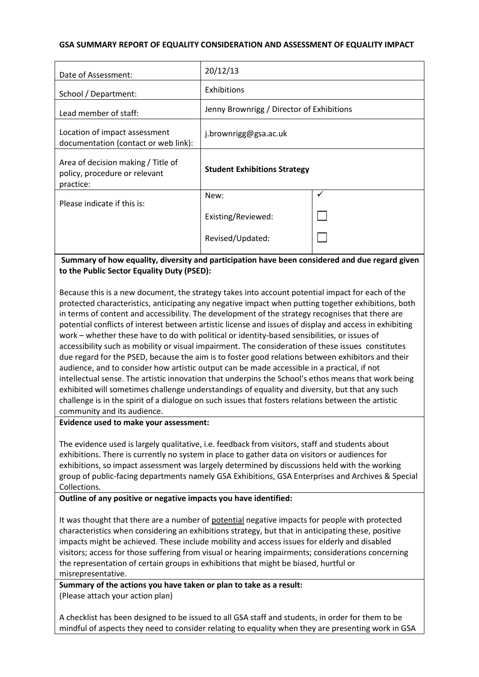#### **GSA SUMMARY REPORT OF EQUALITY CONSIDERATION AND ASSESSMENT OF EQUALITY IMPACT**

| Date of Assessment:                                                              | 20/12/13                                  |   |
|----------------------------------------------------------------------------------|-------------------------------------------|---|
| School / Department:                                                             | Exhibitions                               |   |
| Lead member of staff:                                                            | Jenny Brownrigg / Director of Exhibitions |   |
| Location of impact assessment<br>documentation (contact or web link):            | j.brownrigg@gsa.ac.uk                     |   |
| Area of decision making / Title of<br>policy, procedure or relevant<br>practice: | <b>Student Exhibitions Strategy</b>       |   |
| Please indicate if this is:                                                      | New:                                      | ✓ |
|                                                                                  | Existing/Reviewed:                        |   |
|                                                                                  | Revised/Updated:                          |   |

## **Summary of how equality, diversity and participation have been considered and due regard given to the Public Sector Equality Duty (PSED):**

Because this is a new document, the strategy takes into account potential impact for each of the protected characteristics, anticipating any negative impact when putting together exhibitions, both in terms of content and accessibility. The development of the strategy recognises that there are potential conflicts of interest between artistic license and issues of display and access in exhibiting work – whether these have to do with political or identity-based sensibilities, or issues of accessibility such as mobility or visual impairment. The consideration of these issues constitutes due regard for the PSED, because the aim is to foster good relations between exhibitors and their audience, and to consider how artistic output can be made accessible in a practical, if not intellectual sense. The artistic innovation that underpins the School's ethos means that work being exhibited will sometimes challenge understandings of equality and diversity, but that any such challenge is in the spirit of a dialogue on such issues that fosters relations between the artistic community and its audience.

#### **Evidence used to make your assessment:**

The evidence used is largely qualitative, i.e. feedback from visitors, staff and students about exhibitions. There is currently no system in place to gather data on visitors or audiences for exhibitions, so impact assessment was largely determined by discussions held with the working group of public-facing departments namely GSA Exhibitions, GSA Enterprises and Archives & Special Collections.

## **Outline of any positive or negative impacts you have identified:**

It was thought that there are a number of potential negative impacts for people with protected characteristics when considering an exhibitions strategy, but that in anticipating these, positive impacts might be achieved. These include mobility and access issues for elderly and disabled visitors; access for those suffering from visual or hearing impairments; considerations concerning the representation of certain groups in exhibitions that might be biased, hurtful or misrepresentative.

**Summary of the actions you have taken or plan to take as a result:** (Please attach your action plan)

A checklist has been designed to be issued to all GSA staff and students, in order for them to be mindful of aspects they need to consider relating to equality when they are presenting work in GSA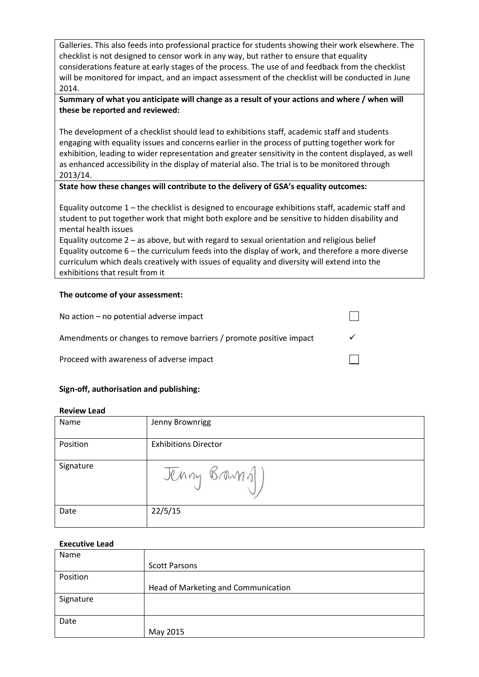Galleries. This also feeds into professional practice for students showing their work elsewhere. The checklist is not designed to censor work in any way, but rather to ensure that equality considerations feature at early stages of the process. The use of and feedback from the checklist will be monitored for impact, and an impact assessment of the checklist will be conducted in June 2014.

## **Summary of what you anticipate will change as a result of your actions and where / when will these be reported and reviewed:**

The development of a checklist should lead to exhibitions staff, academic staff and students engaging with equality issues and concerns earlier in the process of putting together work for exhibition, leading to wider representation and greater sensitivity in the content displayed, as well as enhanced accessibility in the display of material also. The trial is to be monitored through 2013/14.

## **State how these changes will contribute to the delivery of GSA's equality outcomes:**

Equality outcome 1 – the checklist is designed to encourage exhibitions staff, academic staff and student to put together work that might both explore and be sensitive to hidden disability and mental health issues

Equality outcome 2 – as above, but with regard to sexual orientation and religious belief Equality outcome 6 – the curriculum feeds into the display of work, and therefore a more diverse curriculum which deals creatively with issues of equality and diversity will extend into the exhibitions that result from it

#### **The outcome of your assessment:**

| No action $-$ no potential adverse impact                          |  |
|--------------------------------------------------------------------|--|
| Amendments or changes to remove barriers / promote positive impact |  |
| Proceed with awareness of adverse impact                           |  |

## **Sign-off, authorisation and publishing:**

| Name      | Jenny Brownrigg             |
|-----------|-----------------------------|
| Position  | <b>Exhibitions Director</b> |
| Signature | Jenny Brams                 |
| Date      | 22/5/15                     |

#### **Executive Lead**

| Name      |                                     |
|-----------|-------------------------------------|
|           | <b>Scott Parsons</b>                |
| Position  |                                     |
|           | Head of Marketing and Communication |
| Signature |                                     |
|           |                                     |
| Date      |                                     |
|           | May 2015                            |